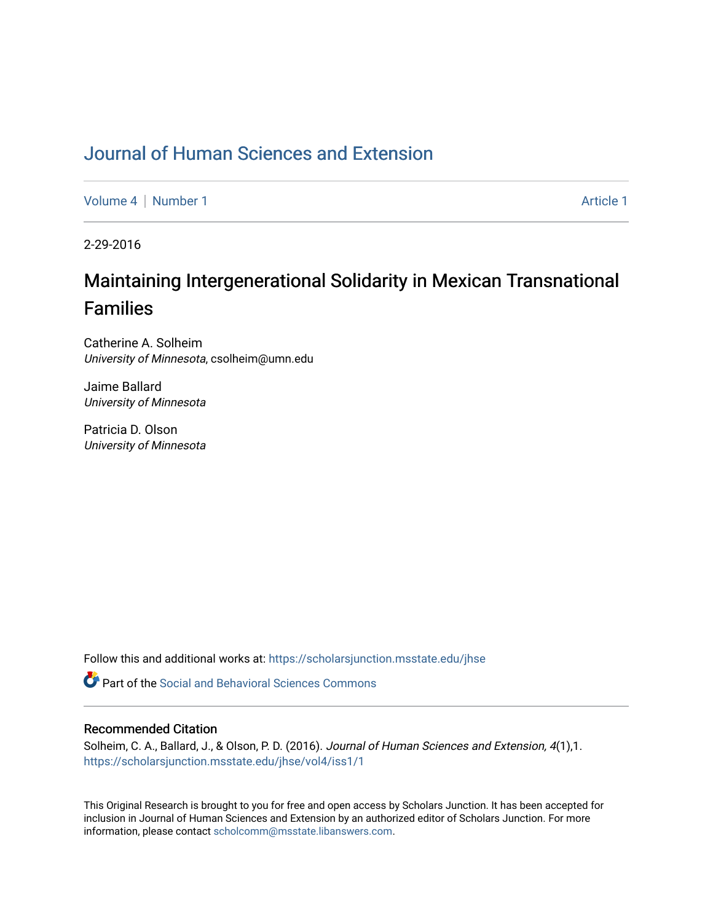## [Journal of Human Sciences and Extension](https://scholarsjunction.msstate.edu/jhse)

[Volume 4](https://scholarsjunction.msstate.edu/jhse/vol4) | [Number 1](https://scholarsjunction.msstate.edu/jhse/vol4/iss1) Article 1

2-29-2016

# Maintaining Intergenerational Solidarity in Mexican Transnational Families

Catherine A. Solheim University of Minnesota, csolheim@umn.edu

Jaime Ballard University of Minnesota

Patricia D. Olson University of Minnesota

Follow this and additional works at: [https://scholarsjunction.msstate.edu/jhse](https://scholarsjunction.msstate.edu/jhse?utm_source=scholarsjunction.msstate.edu%2Fjhse%2Fvol4%2Fiss1%2F1&utm_medium=PDF&utm_campaign=PDFCoverPages)

**C** Part of the Social and Behavioral Sciences Commons

#### Recommended Citation

Solheim, C. A., Ballard, J., & Olson, P. D. (2016). Journal of Human Sciences and Extension, 4(1),1. [https://scholarsjunction.msstate.edu/jhse/vol4/iss1/1](https://scholarsjunction.msstate.edu/jhse/vol4/iss1/1?utm_source=scholarsjunction.msstate.edu%2Fjhse%2Fvol4%2Fiss1%2F1&utm_medium=PDF&utm_campaign=PDFCoverPages)

This Original Research is brought to you for free and open access by Scholars Junction. It has been accepted for inclusion in Journal of Human Sciences and Extension by an authorized editor of Scholars Junction. For more information, please contact [scholcomm@msstate.libanswers.com](mailto:scholcomm@msstate.libanswers.com).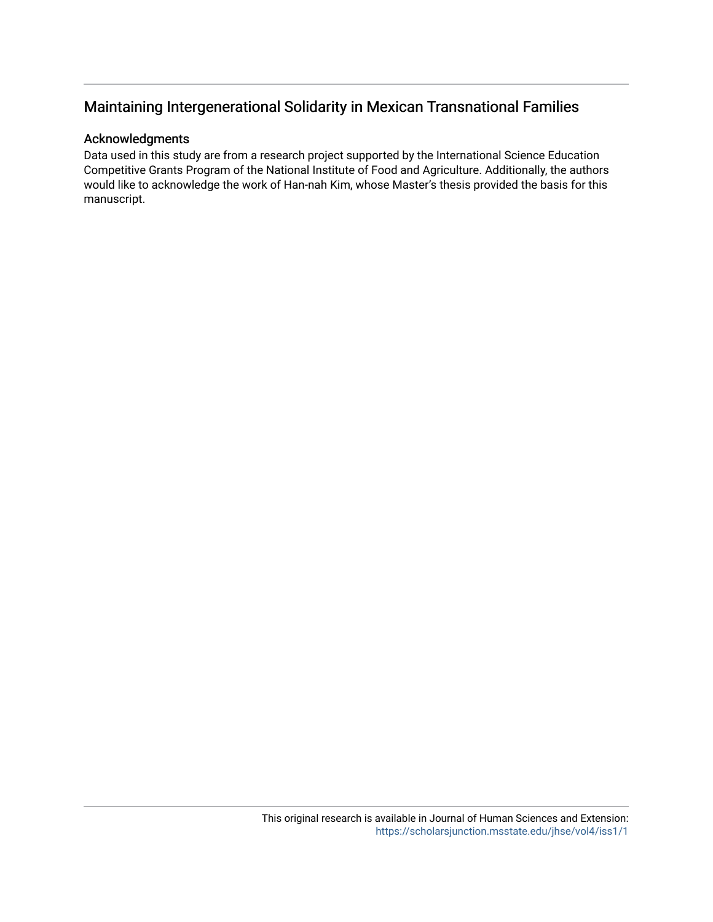#### Acknowledgments

Data used in this study are from a research project supported by the International Science Education Competitive Grants Program of the National Institute of Food and Agriculture. Additionally, the authors would like to acknowledge the work of Han-nah Kim, whose Master's thesis provided the basis for this manuscript.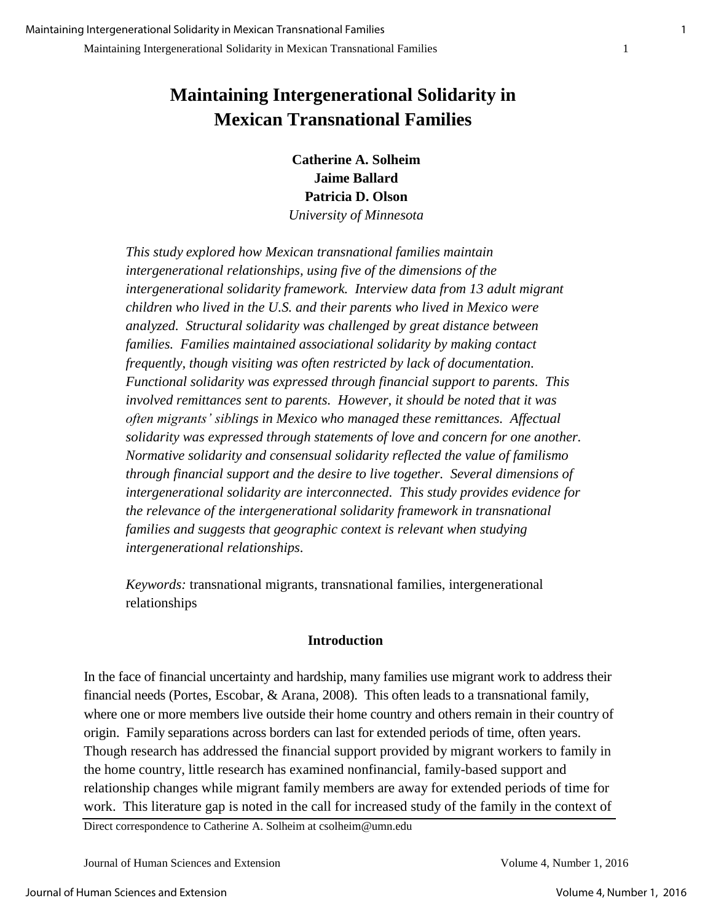**Catherine A. Solheim Jaime Ballard Patricia D. Olson** 

*University of Minnesota* 

*This study explored how Mexican transnational families maintain intergenerational relationships, using five of the dimensions of the intergenerational solidarity framework. Interview data from 13 adult migrant children who lived in the U.S. and their parents who lived in Mexico were analyzed. Structural solidarity was challenged by great distance between families. Families maintained associational solidarity by making contact frequently, though visiting was often restricted by lack of documentation. Functional solidarity was expressed through financial support to parents. This involved remittances sent to parents. However, it should be noted that it was often migrants' siblings in Mexico who managed these remittances. Affectual solidarity was expressed through statements of love and concern for one another. Normative solidarity and consensual solidarity reflected the value of familismo through financial support and the desire to live together. Several dimensions of intergenerational solidarity are interconnected. This study provides evidence for the relevance of the intergenerational solidarity framework in transnational families and suggests that geographic context is relevant when studying intergenerational relationships.* 

*Keywords:* transnational migrants, transnational families, intergenerational relationships

#### **Introduction**

In the face of financial uncertainty and hardship, many families use migrant work to address their financial needs (Portes, Escobar, & Arana, 2008). This often leads to a transnational family, where one or more members live outside their home country and others remain in their country of origin. Family separations across borders can last for extended periods of time, often years. Though research has addressed the financial support provided by migrant workers to family in the home country, little research has examined nonfinancial, family-based support and relationship changes while migrant family members are away for extended periods of time for work. This literature gap is noted in the call for increased study of the family in the context of

Direct correspondence to Catherine A. Solheim at csolheim@umn.edu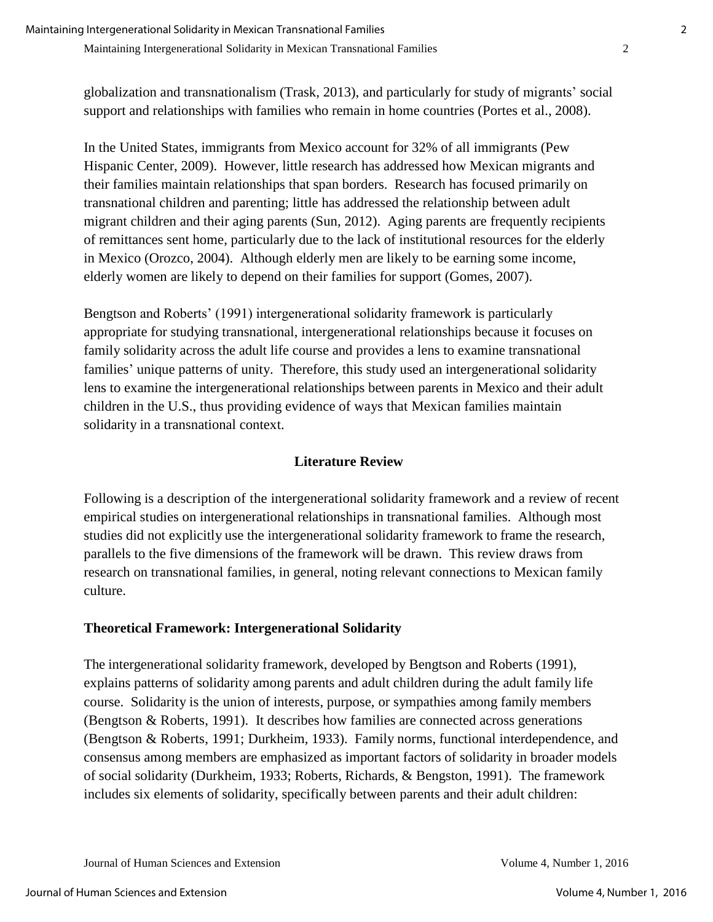globalization and transnationalism (Trask, 2013), and particularly for study of migrants' social support and relationships with families who remain in home countries (Portes et al., 2008).

In the United States, immigrants from Mexico account for 32% of all immigrants (Pew Hispanic Center, 2009). However, little research has addressed how Mexican migrants and their families maintain relationships that span borders. Research has focused primarily on transnational children and parenting; little has addressed the relationship between adult migrant children and their aging parents (Sun, 2012). Aging parents are frequently recipients of remittances sent home, particularly due to the lack of institutional resources for the elderly in Mexico (Orozco, 2004). Although elderly men are likely to be earning some income, elderly women are likely to depend on their families for support (Gomes, 2007).

Bengtson and Roberts' (1991) intergenerational solidarity framework is particularly appropriate for studying transnational, intergenerational relationships because it focuses on family solidarity across the adult life course and provides a lens to examine transnational families' unique patterns of unity. Therefore, this study used an intergenerational solidarity lens to examine the intergenerational relationships between parents in Mexico and their adult children in the U.S., thus providing evidence of ways that Mexican families maintain solidarity in a transnational context.

## **Literature Review**

Following is a description of the intergenerational solidarity framework and a review of recent empirical studies on intergenerational relationships in transnational families. Although most studies did not explicitly use the intergenerational solidarity framework to frame the research, parallels to the five dimensions of the framework will be drawn. This review draws from research on transnational families, in general, noting relevant connections to Mexican family culture.

## **Theoretical Framework: Intergenerational Solidarity**

The intergenerational solidarity framework, developed by Bengtson and Roberts (1991), explains patterns of solidarity among parents and adult children during the adult family life course. Solidarity is the union of interests, purpose, or sympathies among family members (Bengtson & Roberts, 1991). It describes how families are connected across generations (Bengtson & Roberts, 1991; Durkheim, 1933). Family norms, functional interdependence, and consensus among members are emphasized as important factors of solidarity in broader models of social solidarity (Durkheim, 1933; Roberts, Richards, & Bengston, 1991). The framework includes six elements of solidarity, specifically between parents and their adult children: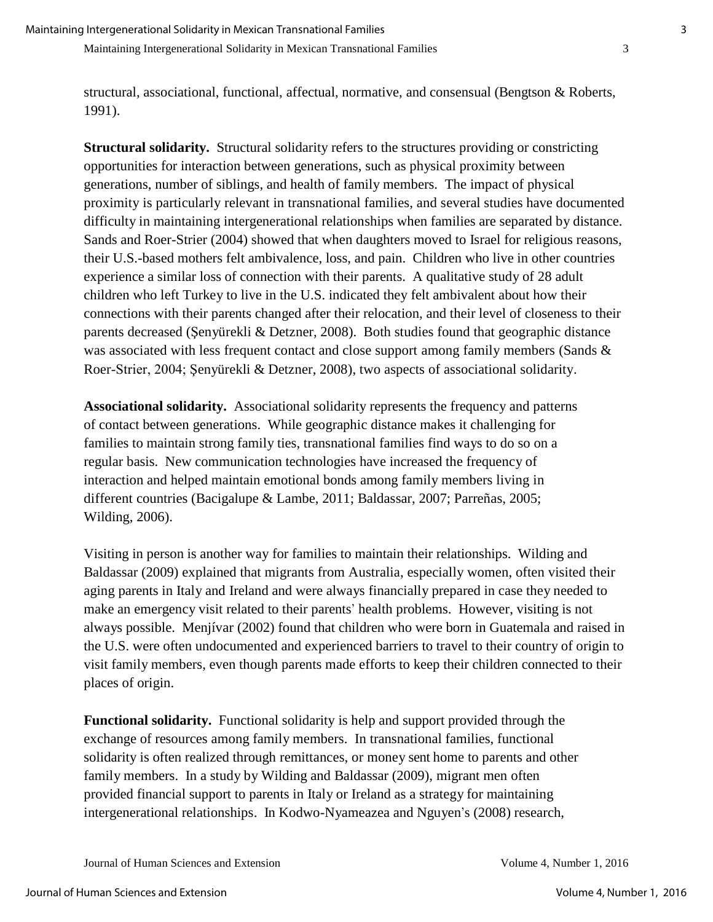structural, associational, functional, affectual, normative, and consensual (Bengtson & Roberts, 1991).

**Structural solidarity.** Structural solidarity refers to the structures providing or constricting opportunities for interaction between generations, such as physical proximity between generations, number of siblings, and health of family members. The impact of physical proximity is particularly relevant in transnational families, and several studies have documented difficulty in maintaining intergenerational relationships when families are separated by distance. Sands and Roer-Strier (2004) showed that when daughters moved to Israel for religious reasons, their U.S.-based mothers felt ambivalence, loss, and pain. Children who live in other countries experience a similar loss of connection with their parents. A qualitative study of 28 adult children who left Turkey to live in the U.S. indicated they felt ambivalent about how their connections with their parents changed after their relocation, and their level of closeness to their parents decreased (Şenyürekli & Detzner, 2008). Both studies found that geographic distance was associated with less frequent contact and close support among family members (Sands & Roer-Strier, 2004; Şenyürekli & Detzner, 2008), two aspects of associational solidarity.

**Associational solidarity.** Associational solidarity represents the frequency and patterns of contact between generations. While geographic distance makes it challenging for families to maintain strong family ties, transnational families find ways to do so on a regular basis. New communication technologies have increased the frequency of interaction and helped maintain emotional bonds among family members living in different countries (Bacigalupe & Lambe, 2011; Baldassar, 2007; Parreñas, 2005; Wilding, 2006).

Visiting in person is another way for families to maintain their relationships. Wilding and Baldassar (2009) explained that migrants from Australia, especially women, often visited their aging parents in Italy and Ireland and were always financially prepared in case they needed to make an emergency visit related to their parents' health problems. However, visiting is not always possible. Menjívar (2002) found that children who were born in Guatemala and raised in the U.S. were often undocumented and experienced barriers to travel to their country of origin to visit family members, even though parents made efforts to keep their children connected to their places of origin.

**Functional solidarity.** Functional solidarity is help and support provided through the exchange of resources among family members. In transnational families, functional solidarity is often realized through remittances, or money sent home to parents and other family members. In a study by Wilding and Baldassar (2009), migrant men often provided financial support to parents in Italy or Ireland as a strategy for maintaining intergenerational relationships. In Kodwo-Nyameazea and Nguyen's (2008) research,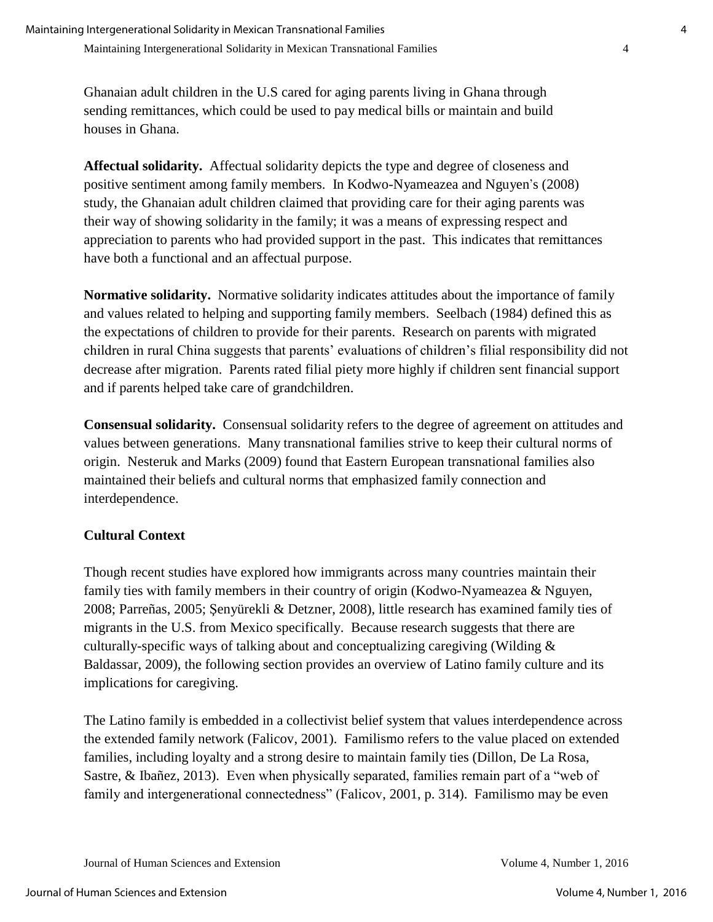Ghanaian adult children in the U.S cared for aging parents living in Ghana through sending remittances, which could be used to pay medical bills or maintain and build houses in Ghana.

**Affectual solidarity.** Affectual solidarity depicts the type and degree of closeness and positive sentiment among family members. In Kodwo-Nyameazea and Nguyen's (2008) study, the Ghanaian adult children claimed that providing care for their aging parents was their way of showing solidarity in the family; it was a means of expressing respect and appreciation to parents who had provided support in the past. This indicates that remittances have both a functional and an affectual purpose.

**Normative solidarity.** Normative solidarity indicates attitudes about the importance of family and values related to helping and supporting family members. Seelbach (1984) defined this as the expectations of children to provide for their parents. Research on parents with migrated children in rural China suggests that parents' evaluations of children's filial responsibility did not decrease after migration. Parents rated filial piety more highly if children sent financial support and if parents helped take care of grandchildren.

**Consensual solidarity.** Consensual solidarity refers to the degree of agreement on attitudes and values between generations. Many transnational families strive to keep their cultural norms of origin. Nesteruk and Marks (2009) found that Eastern European transnational families also maintained their beliefs and cultural norms that emphasized family connection and interdependence.

## **Cultural Context**

Though recent studies have explored how immigrants across many countries maintain their family ties with family members in their country of origin (Kodwo-Nyameazea & Nguyen, 2008; Parreñas, 2005; Şenyürekli & Detzner, 2008), little research has examined family ties of migrants in the U.S. from Mexico specifically. Because research suggests that there are culturally-specific ways of talking about and conceptualizing caregiving (Wilding & Baldassar, 2009), the following section provides an overview of Latino family culture and its implications for caregiving.

The Latino family is embedded in a collectivist belief system that values interdependence across the extended family network (Falicov, 2001). Familismo refers to the value placed on extended families, including loyalty and a strong desire to maintain family ties (Dillon, De La Rosa, Sastre, & Ibañez, 2013). Even when physically separated, families remain part of a "web of family and intergenerational connectedness" (Falicov, 2001, p. 314). Familismo may be even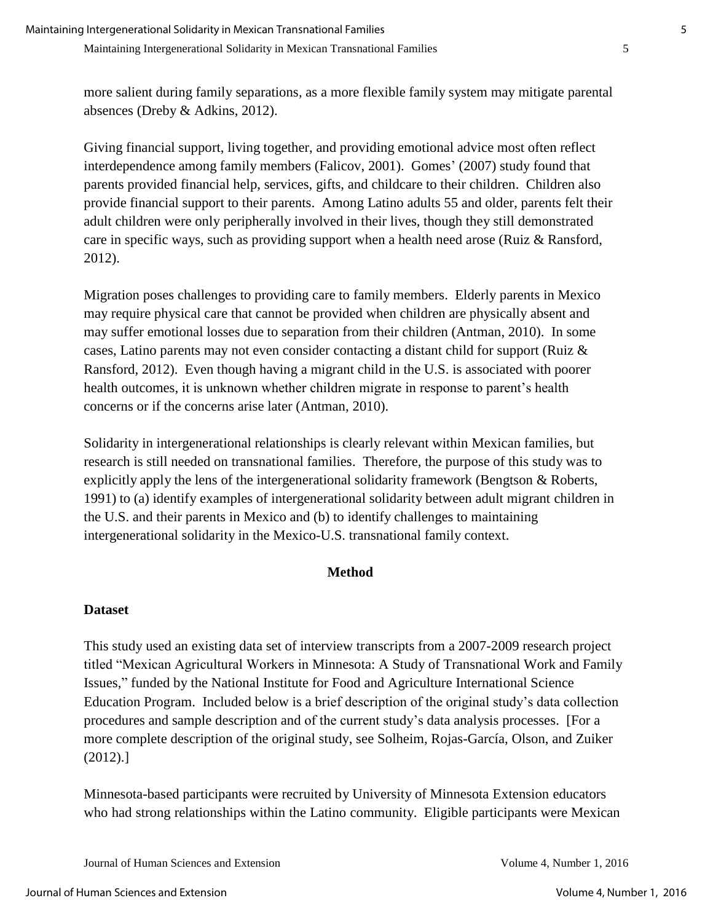more salient during family separations, as a more flexible family system may mitigate parental absences (Dreby & Adkins, 2012).

Giving financial support, living together, and providing emotional advice most often reflect interdependence among family members (Falicov, 2001). Gomes' (2007) study found that parents provided financial help, services, gifts, and childcare to their children. Children also provide financial support to their parents. Among Latino adults 55 and older, parents felt their adult children were only peripherally involved in their lives, though they still demonstrated care in specific ways, such as providing support when a health need arose (Ruiz & Ransford, 2012).

Migration poses challenges to providing care to family members. Elderly parents in Mexico may require physical care that cannot be provided when children are physically absent and may suffer emotional losses due to separation from their children (Antman, 2010). In some cases, Latino parents may not even consider contacting a distant child for support (Ruiz & Ransford, 2012). Even though having a migrant child in the U.S. is associated with poorer health outcomes, it is unknown whether children migrate in response to parent's health concerns or if the concerns arise later (Antman, 2010).

Solidarity in intergenerational relationships is clearly relevant within Mexican families, but research is still needed on transnational families. Therefore, the purpose of this study was to explicitly apply the lens of the intergenerational solidarity framework (Bengtson & Roberts, 1991) to (a) identify examples of intergenerational solidarity between adult migrant children in the U.S. and their parents in Mexico and (b) to identify challenges to maintaining intergenerational solidarity in the Mexico-U.S. transnational family context.

## **Method**

## **Dataset**

This study used an existing data set of interview transcripts from a 2007-2009 research project titled "Mexican Agricultural Workers in Minnesota: A Study of Transnational Work and Family Issues," funded by the National Institute for Food and Agriculture International Science Education Program. Included below is a brief description of the original study's data collection procedures and sample description and of the current study's data analysis processes. [For a more complete description of the original study, see Solheim, Rojas-García, Olson, and Zuiker (2012).]

Minnesota-based participants were recruited by University of Minnesota Extension educators who had strong relationships within the Latino community. Eligible participants were Mexican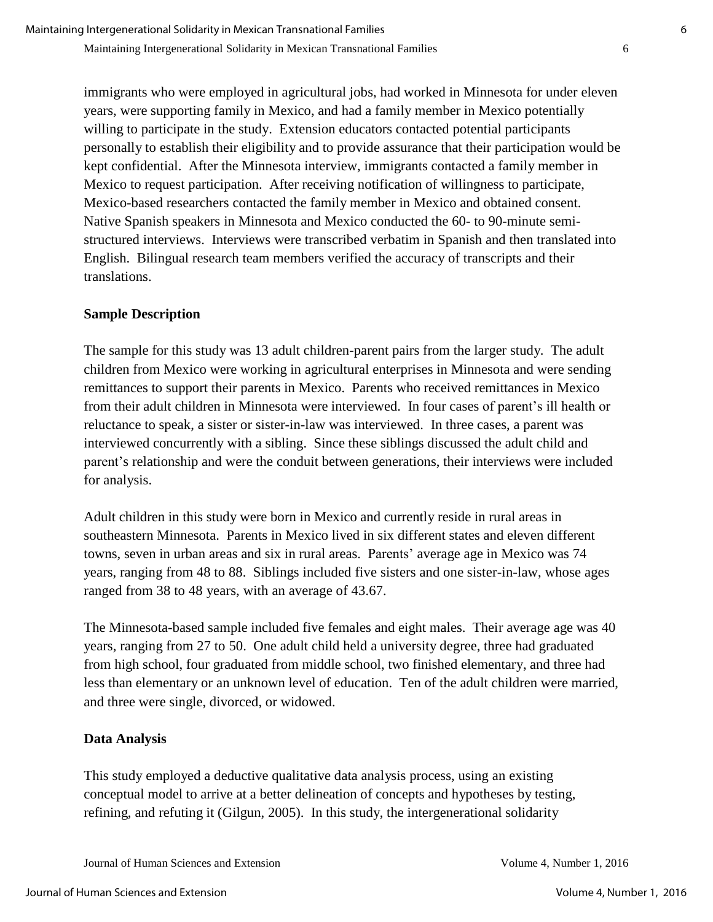immigrants who were employed in agricultural jobs, had worked in Minnesota for under eleven years, were supporting family in Mexico, and had a family member in Mexico potentially willing to participate in the study. Extension educators contacted potential participants personally to establish their eligibility and to provide assurance that their participation would be kept confidential. After the Minnesota interview, immigrants contacted a family member in Mexico to request participation. After receiving notification of willingness to participate, Mexico-based researchers contacted the family member in Mexico and obtained consent. Native Spanish speakers in Minnesota and Mexico conducted the 60- to 90-minute semistructured interviews. Interviews were transcribed verbatim in Spanish and then translated into English. Bilingual research team members verified the accuracy of transcripts and their translations.

## **Sample Description**

The sample for this study was 13 adult children-parent pairs from the larger study. The adult children from Mexico were working in agricultural enterprises in Minnesota and were sending remittances to support their parents in Mexico. Parents who received remittances in Mexico from their adult children in Minnesota were interviewed. In four cases of parent's ill health or reluctance to speak, a sister or sister-in-law was interviewed. In three cases, a parent was interviewed concurrently with a sibling. Since these siblings discussed the adult child and parent's relationship and were the conduit between generations, their interviews were included for analysis.

Adult children in this study were born in Mexico and currently reside in rural areas in southeastern Minnesota. Parents in Mexico lived in six different states and eleven different towns, seven in urban areas and six in rural areas. Parents' average age in Mexico was 74 years, ranging from 48 to 88. Siblings included five sisters and one sister-in-law, whose ages ranged from 38 to 48 years, with an average of 43.67.

The Minnesota-based sample included five females and eight males. Their average age was 40 years, ranging from 27 to 50. One adult child held a university degree, three had graduated from high school, four graduated from middle school, two finished elementary, and three had less than elementary or an unknown level of education. Ten of the adult children were married, and three were single, divorced, or widowed.

## **Data Analysis**

This study employed a deductive qualitative data analysis process, using an existing conceptual model to arrive at a better delineation of concepts and hypotheses by testing, refining, and refuting it (Gilgun, 2005). In this study, the intergenerational solidarity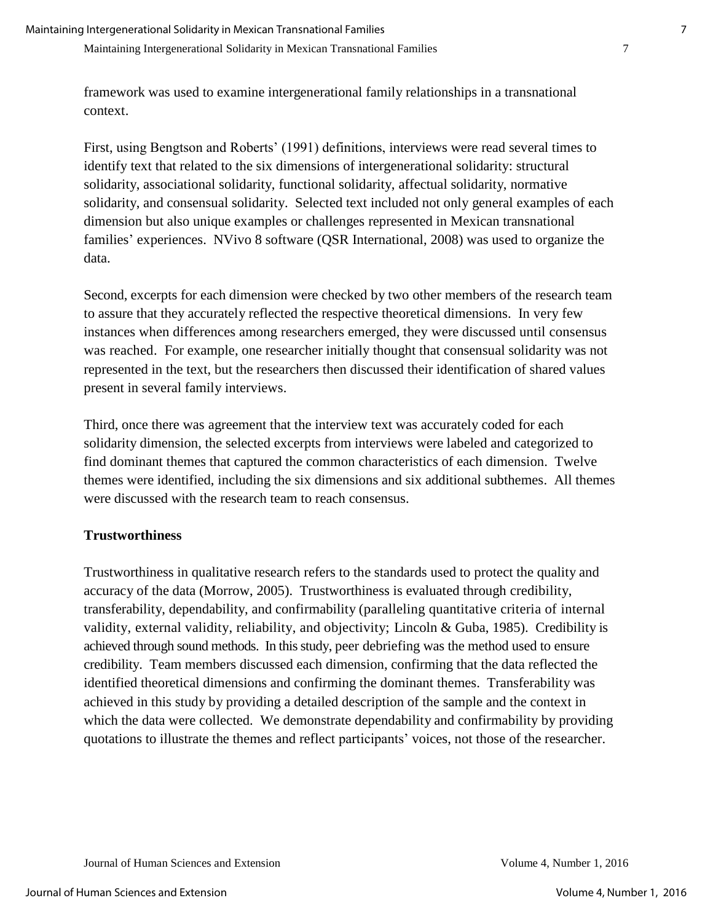framework was used to examine intergenerational family relationships in a transnational context.

First, using Bengtson and Roberts' (1991) definitions, interviews were read several times to identify text that related to the six dimensions of intergenerational solidarity: structural solidarity, associational solidarity, functional solidarity, affectual solidarity, normative solidarity, and consensual solidarity. Selected text included not only general examples of each dimension but also unique examples or challenges represented in Mexican transnational families' experiences. NVivo 8 software (QSR International, 2008) was used to organize the data.

Second, excerpts for each dimension were checked by two other members of the research team to assure that they accurately reflected the respective theoretical dimensions. In very few instances when differences among researchers emerged, they were discussed until consensus was reached. For example, one researcher initially thought that consensual solidarity was not represented in the text, but the researchers then discussed their identification of shared values present in several family interviews.

Third, once there was agreement that the interview text was accurately coded for each solidarity dimension, the selected excerpts from interviews were labeled and categorized to find dominant themes that captured the common characteristics of each dimension. Twelve themes were identified, including the six dimensions and six additional subthemes. All themes were discussed with the research team to reach consensus.

#### **Trustworthiness**

Trustworthiness in qualitative research refers to the standards used to protect the quality and accuracy of the data (Morrow, 2005). Trustworthiness is evaluated through credibility, transferability, dependability, and confirmability (paralleling quantitative criteria of internal validity, external validity, reliability, and objectivity; Lincoln & Guba, 1985). Credibility is achieved through sound methods. In this study, peer debriefing was the method used to ensure credibility. Team members discussed each dimension, confirming that the data reflected the identified theoretical dimensions and confirming the dominant themes. Transferability was achieved in this study by providing a detailed description of the sample and the context in which the data were collected. We demonstrate dependability and confirmability by providing quotations to illustrate the themes and reflect participants' voices, not those of the researcher.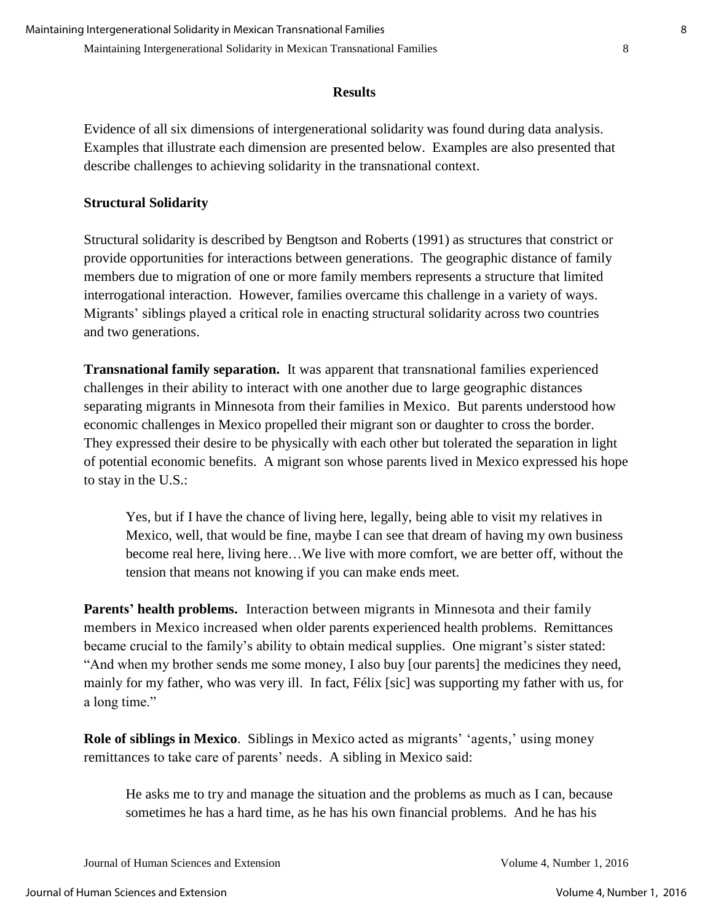#### **Results**

Evidence of all six dimensions of intergenerational solidarity was found during data analysis. Examples that illustrate each dimension are presented below. Examples are also presented that describe challenges to achieving solidarity in the transnational context.

#### **Structural Solidarity**

Structural solidarity is described by Bengtson and Roberts (1991) as structures that constrict or provide opportunities for interactions between generations. The geographic distance of family members due to migration of one or more family members represents a structure that limited interrogational interaction. However, families overcame this challenge in a variety of ways. Migrants' siblings played a critical role in enacting structural solidarity across two countries and two generations.

**Transnational family separation.** It was apparent that transnational families experienced challenges in their ability to interact with one another due to large geographic distances separating migrants in Minnesota from their families in Mexico. But parents understood how economic challenges in Mexico propelled their migrant son or daughter to cross the border. They expressed their desire to be physically with each other but tolerated the separation in light of potential economic benefits. A migrant son whose parents lived in Mexico expressed his hope to stay in the U.S.:

Yes, but if I have the chance of living here, legally, being able to visit my relatives in Mexico, well, that would be fine, maybe I can see that dream of having my own business become real here, living here…We live with more comfort, we are better off, without the tension that means not knowing if you can make ends meet.

**Parents' health problems.** Interaction between migrants in Minnesota and their family members in Mexico increased when older parents experienced health problems. Remittances became crucial to the family's ability to obtain medical supplies. One migrant's sister stated: "And when my brother sends me some money, I also buy [our parents] the medicines they need, mainly for my father, who was very ill. In fact, Félix [sic] was supporting my father with us, for a long time."

**Role of siblings in Mexico**. Siblings in Mexico acted as migrants' 'agents,' using money remittances to take care of parents' needs. A sibling in Mexico said:

He asks me to try and manage the situation and the problems as much as I can, because sometimes he has a hard time, as he has his own financial problems. And he has his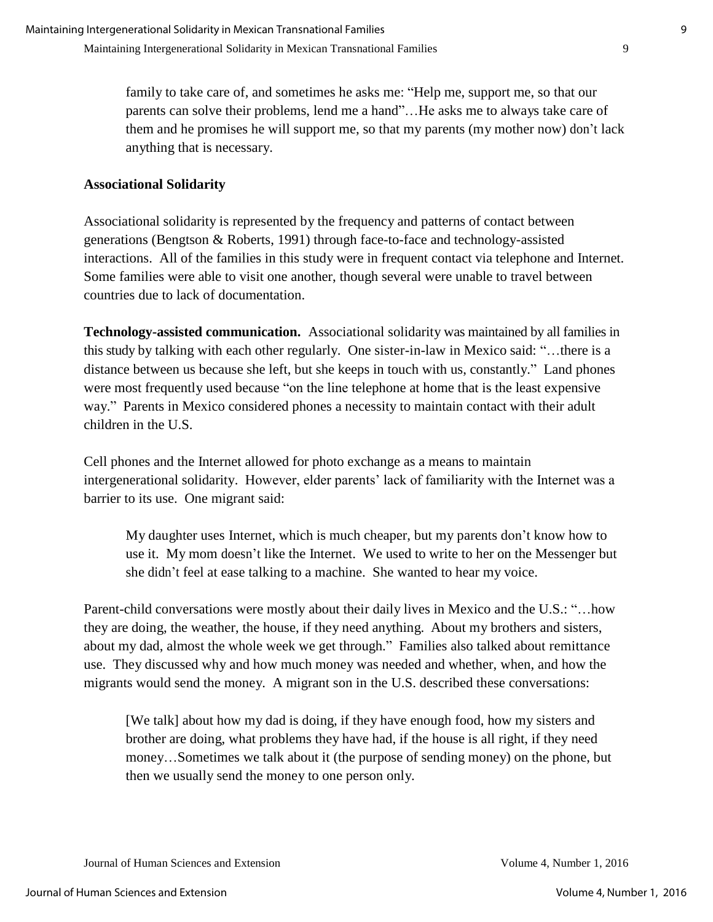family to take care of, and sometimes he asks me: "Help me, support me, so that our parents can solve their problems, lend me a hand"... He asks me to always take care of them and he promises he will support me, so that my parents (my mother now) don't lack anything that is necessary.

### **Associational Solidarity**

Associational solidarity is represented by the frequency and patterns of contact between generations (Bengtson & Roberts, 1991) through face-to-face and technology-assisted interactions. All of the families in this study were in frequent contact via telephone and Internet. Some families were able to visit one another, though several were unable to travel between countries due to lack of documentation.

**Technology-assisted communication.** Associational solidarity was maintained by all families in this study by talking with each other regularly. One sister-in-law in Mexico said: "…there is a distance between us because she left, but she keeps in touch with us, constantly." Land phones were most frequently used because "on the line telephone at home that is the least expensive way." Parents in Mexico considered phones a necessity to maintain contact with their adult children in the U.S.

Cell phones and the Internet allowed for photo exchange as a means to maintain intergenerational solidarity. However, elder parents' lack of familiarity with the Internet was a barrier to its use. One migrant said:

My daughter uses Internet, which is much cheaper, but my parents don't know how to use it. My mom doesn't like the Internet. We used to write to her on the Messenger but she didn't feel at ease talking to a machine. She wanted to hear my voice.

Parent-child conversations were mostly about their daily lives in Mexico and the U.S.: "…how they are doing, the weather, the house, if they need anything. About my brothers and sisters, about my dad, almost the whole week we get through." Families also talked about remittance use. They discussed why and how much money was needed and whether, when, and how the migrants would send the money. A migrant son in the U.S. described these conversations:

[We talk] about how my dad is doing, if they have enough food, how my sisters and brother are doing, what problems they have had, if the house is all right, if they need money…Sometimes we talk about it (the purpose of sending money) on the phone, but then we usually send the money to one person only.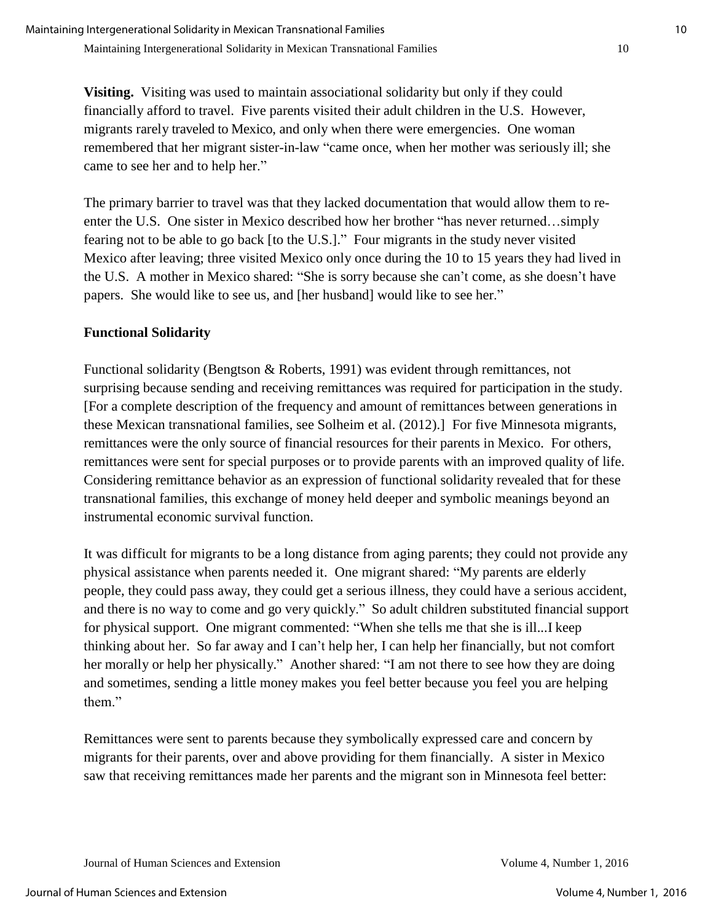**Visiting.** Visiting was used to maintain associational solidarity but only if they could financially afford to travel. Five parents visited their adult children in the U.S. However, migrants rarely traveled to Mexico, and only when there were emergencies. One woman remembered that her migrant sister-in-law "came once, when her mother was seriously ill; she came to see her and to help her."

The primary barrier to travel was that they lacked documentation that would allow them to reenter the U.S. One sister in Mexico described how her brother "has never returned…simply fearing not to be able to go back [to the U.S.]." Four migrants in the study never visited Mexico after leaving; three visited Mexico only once during the 10 to 15 years they had lived in the U.S. A mother in Mexico shared: "She is sorry because she can't come, as she doesn't have papers. She would like to see us, and [her husband] would like to see her."

## **Functional Solidarity**

Functional solidarity (Bengtson & Roberts, 1991) was evident through remittances, not surprising because sending and receiving remittances was required for participation in the study. [For a complete description of the frequency and amount of remittances between generations in these Mexican transnational families, see Solheim et al. (2012).] For five Minnesota migrants, remittances were the only source of financial resources for their parents in Mexico. For others, remittances were sent for special purposes or to provide parents with an improved quality of life. Considering remittance behavior as an expression of functional solidarity revealed that for these transnational families, this exchange of money held deeper and symbolic meanings beyond an instrumental economic survival function.

It was difficult for migrants to be a long distance from aging parents; they could not provide any physical assistance when parents needed it. One migrant shared: "My parents are elderly people, they could pass away, they could get a serious illness, they could have a serious accident, and there is no way to come and go very quickly." So adult children substituted financial support for physical support. One migrant commented: "When she tells me that she is ill...I keep thinking about her. So far away and I can't help her, I can help her financially, but not comfort her morally or help her physically." Another shared: "I am not there to see how they are doing and sometimes, sending a little money makes you feel better because you feel you are helping them"

Remittances were sent to parents because they symbolically expressed care and concern by migrants for their parents, over and above providing for them financially. A sister in Mexico saw that receiving remittances made her parents and the migrant son in Minnesota feel better: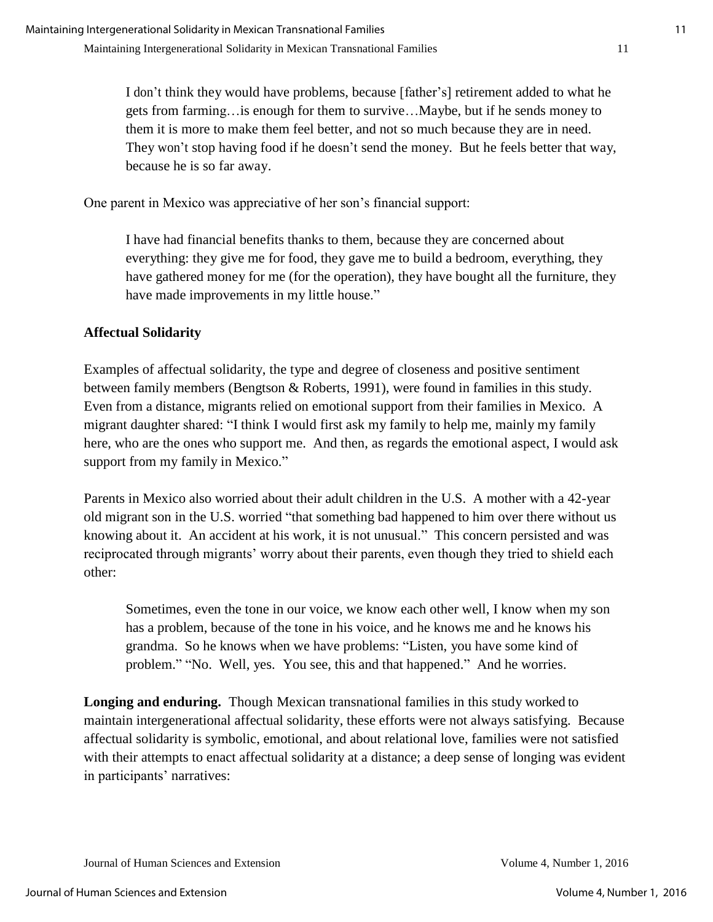I don't think they would have problems, because [father's] retirement added to what he gets from farming…is enough for them to survive…Maybe, but if he sends money to them it is more to make them feel better, and not so much because they are in need. They won't stop having food if he doesn't send the money. But he feels better that way, because he is so far away.

One parent in Mexico was appreciative of her son's financial support:

I have had financial benefits thanks to them, because they are concerned about everything: they give me for food, they gave me to build a bedroom, everything, they have gathered money for me (for the operation), they have bought all the furniture, they have made improvements in my little house."

## **Affectual Solidarity**

Examples of affectual solidarity, the type and degree of closeness and positive sentiment between family members (Bengtson & Roberts, 1991), were found in families in this study. Even from a distance, migrants relied on emotional support from their families in Mexico. A migrant daughter shared: "I think I would first ask my family to help me, mainly my family here, who are the ones who support me. And then, as regards the emotional aspect, I would ask support from my family in Mexico."

Parents in Mexico also worried about their adult children in the U.S. A mother with a 42-year old migrant son in the U.S. worried "that something bad happened to him over there without us knowing about it. An accident at his work, it is not unusual." This concern persisted and was reciprocated through migrants' worry about their parents, even though they tried to shield each other:

Sometimes, even the tone in our voice, we know each other well, I know when my son has a problem, because of the tone in his voice, and he knows me and he knows his grandma. So he knows when we have problems: "Listen, you have some kind of problem." "No. Well, yes. You see, this and that happened." And he worries.

**Longing and enduring.** Though Mexican transnational families in this study worked to maintain intergenerational affectual solidarity, these efforts were not always satisfying. Because affectual solidarity is symbolic, emotional, and about relational love, families were not satisfied with their attempts to enact affectual solidarity at a distance; a deep sense of longing was evident in participants' narratives: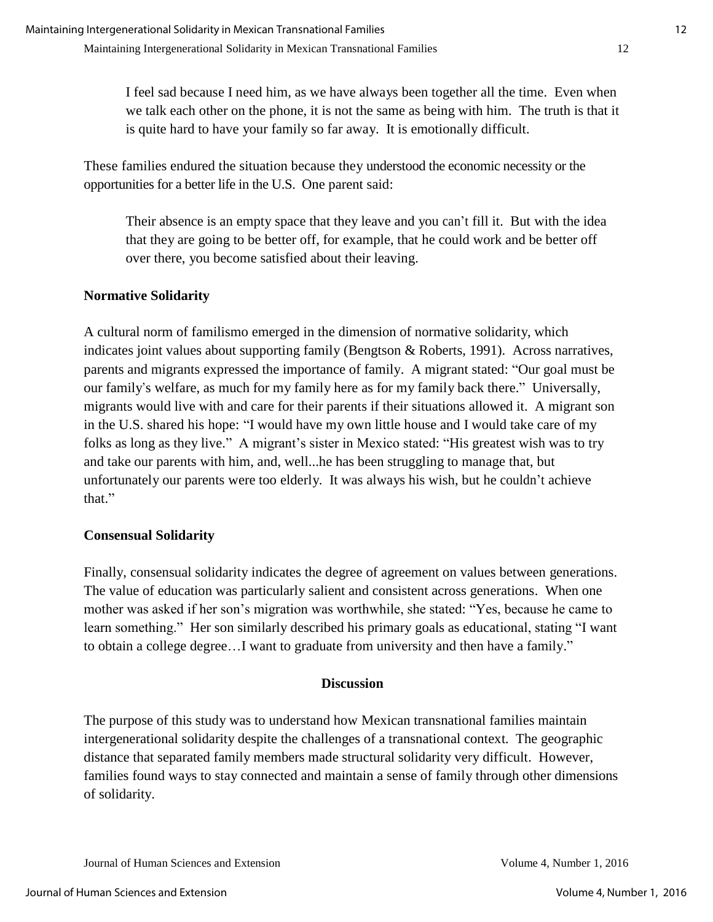I feel sad because I need him, as we have always been together all the time. Even when we talk each other on the phone, it is not the same as being with him. The truth is that it is quite hard to have your family so far away. It is emotionally difficult.

These families endured the situation because they understood the economic necessity or the opportunities for a better life in the U.S. One parent said:

Their absence is an empty space that they leave and you can't fill it. But with the idea that they are going to be better off, for example, that he could work and be better off over there, you become satisfied about their leaving.

## **Normative Solidarity**

A cultural norm of familismo emerged in the dimension of normative solidarity, which indicates joint values about supporting family (Bengtson & Roberts, 1991). Across narratives, parents and migrants expressed the importance of family. A migrant stated: "Our goal must be our family's welfare, as much for my family here as for my family back there." Universally, migrants would live with and care for their parents if their situations allowed it. A migrant son in the U.S. shared his hope: "I would have my own little house and I would take care of my folks as long as they live." A migrant's sister in Mexico stated: "His greatest wish was to try and take our parents with him, and, well...he has been struggling to manage that, but unfortunately our parents were too elderly. It was always his wish, but he couldn't achieve that."

## **Consensual Solidarity**

Finally, consensual solidarity indicates the degree of agreement on values between generations. The value of education was particularly salient and consistent across generations. When one mother was asked if her son's migration was worthwhile, she stated: "Yes, because he came to learn something." Her son similarly described his primary goals as educational, stating "I want to obtain a college degree…I want to graduate from university and then have a family."

## **Discussion**

The purpose of this study was to understand how Mexican transnational families maintain intergenerational solidarity despite the challenges of a transnational context. The geographic distance that separated family members made structural solidarity very difficult. However, families found ways to stay connected and maintain a sense of family through other dimensions of solidarity.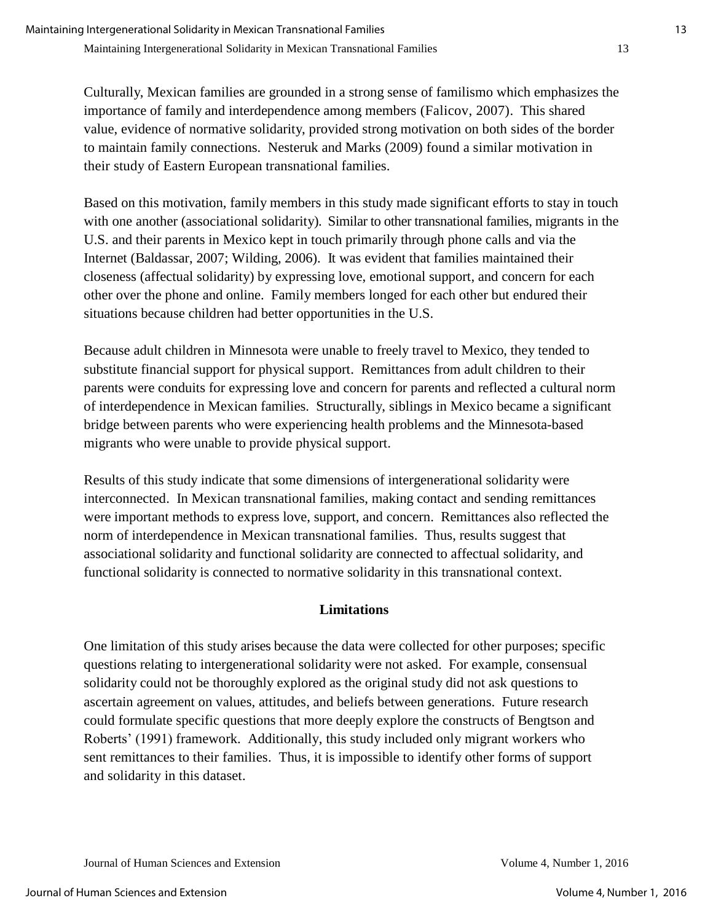Culturally, Mexican families are grounded in a strong sense of familismo which emphasizes the importance of family and interdependence among members (Falicov, 2007). This shared value, evidence of normative solidarity, provided strong motivation on both sides of the border to maintain family connections. Nesteruk and Marks (2009) found a similar motivation in their study of Eastern European transnational families.

Based on this motivation, family members in this study made significant efforts to stay in touch with one another (associational solidarity). Similar to other transnational families, migrants in the U.S. and their parents in Mexico kept in touch primarily through phone calls and via the Internet (Baldassar, 2007; Wilding, 2006). It was evident that families maintained their closeness (affectual solidarity) by expressing love, emotional support, and concern for each other over the phone and online. Family members longed for each other but endured their situations because children had better opportunities in the U.S.

Because adult children in Minnesota were unable to freely travel to Mexico, they tended to substitute financial support for physical support. Remittances from adult children to their parents were conduits for expressing love and concern for parents and reflected a cultural norm of interdependence in Mexican families. Structurally, siblings in Mexico became a significant bridge between parents who were experiencing health problems and the Minnesota-based migrants who were unable to provide physical support.

Results of this study indicate that some dimensions of intergenerational solidarity were interconnected. In Mexican transnational families, making contact and sending remittances were important methods to express love, support, and concern. Remittances also reflected the norm of interdependence in Mexican transnational families. Thus, results suggest that associational solidarity and functional solidarity are connected to affectual solidarity, and functional solidarity is connected to normative solidarity in this transnational context.

#### **Limitations**

One limitation of this study arises because the data were collected for other purposes; specific questions relating to intergenerational solidarity were not asked. For example, consensual solidarity could not be thoroughly explored as the original study did not ask questions to ascertain agreement on values, attitudes, and beliefs between generations. Future research could formulate specific questions that more deeply explore the constructs of Bengtson and Roberts' (1991) framework. Additionally, this study included only migrant workers who sent remittances to their families. Thus, it is impossible to identify other forms of support and solidarity in this dataset.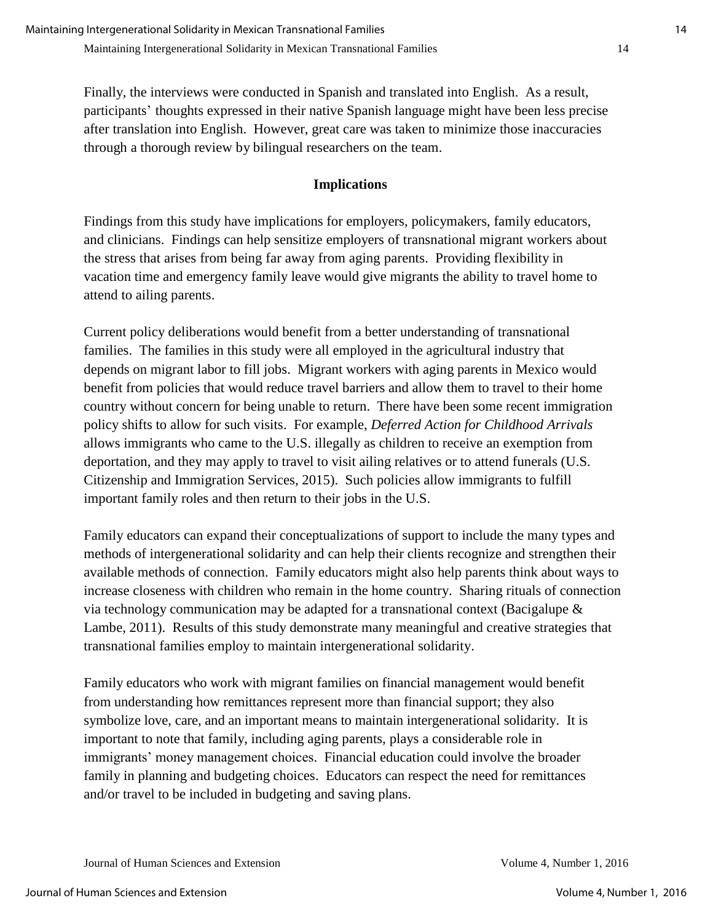Finally, the interviews were conducted in Spanish and translated into English. As a result, participants' thoughts expressed in their native Spanish language might have been less precise after translation into English. However, great care was taken to minimize those inaccuracies through a thorough review by bilingual researchers on the team.

## **Implications**

Findings from this study have implications for employers, policymakers, family educators, and clinicians. Findings can help sensitize employers of transnational migrant workers about the stress that arises from being far away from aging parents. Providing flexibility in vacation time and emergency family leave would give migrants the ability to travel home to attend to ailing parents.

Current policy deliberations would benefit from a better understanding of transnational families. The families in this study were all employed in the agricultural industry that depends on migrant labor to fill jobs. Migrant workers with aging parents in Mexico would benefit from policies that would reduce travel barriers and allow them to travel to their home country without concern for being unable to return. There have been some recent immigration policy shifts to allow for such visits. For example, *Deferred Action for Childhood Arrivals* allows immigrants who came to the U.S. illegally as children to receive an exemption from deportation, and they may apply to travel to visit ailing relatives or to attend funerals (U.S. Citizenship and Immigration Services, 2015). Such policies allow immigrants to fulfill important family roles and then return to their jobs in the U.S.

Family educators can expand their conceptualizations of support to include the many types and methods of intergenerational solidarity and can help their clients recognize and strengthen their available methods of connection. Family educators might also help parents think about ways to increase closeness with children who remain in the home country. Sharing rituals of connection via technology communication may be adapted for a transnational context (Bacigalupe & Lambe, 2011). Results of this study demonstrate many meaningful and creative strategies that transnational families employ to maintain intergenerational solidarity.

Family educators who work with migrant families on financial management would benefit from understanding how remittances represent more than financial support; they also symbolize love, care, and an important means to maintain intergenerational solidarity. It is important to note that family, including aging parents, plays a considerable role in immigrants' money management choices. Financial education could involve the broader family in planning and budgeting choices. Educators can respect the need for remittances and/or travel to be included in budgeting and saving plans.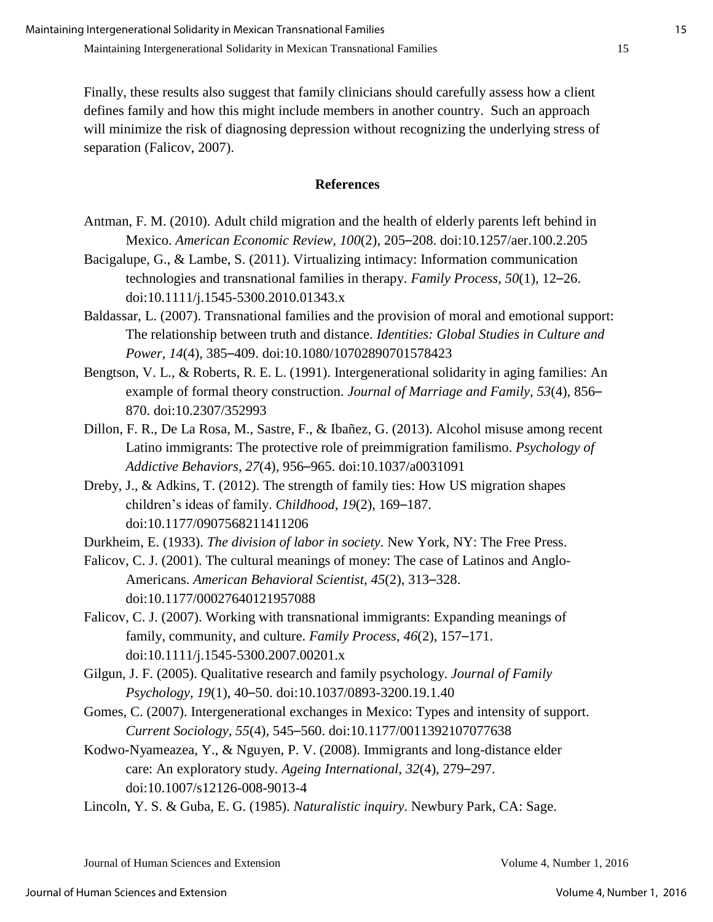Finally, these results also suggest that family clinicians should carefully assess how a client defines family and how this might include members in another country. Such an approach will minimize the risk of diagnosing depression without recognizing the underlying stress of separation (Falicov, 2007).

#### **References**

- Antman, F. M. (2010). Adult child migration and the health of elderly parents left behind in Mexico. *American Economic Review, 100*(2), 205–208. doi:10.1257/aer.100.2.205
- Bacigalupe, G., & Lambe, S. (2011). Virtualizing intimacy: Information communication technologies and transnational families in therapy. *Family Process*, *50*(1), 12–26. doi:10.1111/j.1545-5300.2010.01343.x
- Baldassar, L. (2007). Transnational families and the provision of moral and emotional support: The relationship between truth and distance. *Identities: Global Studies in Culture and Power, 14*(4), 385–409. doi[:10.1080/10702890701578423](http://dx.doi.org/10.1080/10702890701578423)
- Bengtson, V. L., & Roberts, R. E. L. (1991). Intergenerational solidarity in aging families: An example of formal theory construction. *Journal of Marriage and Family, 53*(4), 856– 870. doi[:10.2307/352993](http://dx.doi.org/10.2307/352993)
- Dillon, F. R., De La Rosa, M., Sastre, F., & Ibañez, G. (2013). Alcohol misuse among recent Latino immigrants: The protective role of preimmigration familismo. *Psychology of Addictive Behaviors, 27*(4), 956–965. doi:10.1037/a0031091
- Dreby, J., & Adkins, T. (2012). The strength of family ties: How US migration shapes children's ideas of family. *Childhood, 19*(2), 169–187. doi[:10.1177/0907568211411206](http://dx.doi.org/10.1177/0907568211411206)
- Durkheim, E. (1933). *The division of labor in society*. New York, NY: The Free Press.
- Falicov, C. J. (2001). The cultural meanings of money: The case of Latinos and Anglo-Americans. *American Behavioral Scientist, 45*(2), 313–328. doi[:10.1177/00027640121957088](http://dx.doi.org/10.1177/00027640121957088)
- Falicov, C. J. (2007). Working with transnational immigrants: Expanding meanings of family, community, and culture. *Family Process*, *46*(2), 157–171. doi:10.1111/j.1545-5300.2007.00201.x
- Gilgun, J. F. (2005). Qualitative research and family psychology. *Journal of Family Psychology, 19*(1), 40–50. doi[:10.1037/0893-3200.19.1.40](http://dx.doi.org/10.1037/0893-3200.19.1.40)
- Gomes, C. (2007). Intergenerational exchanges in Mexico: Types and intensity of support. *Current Sociology, 55*(4), 545–560. doi:10.1177/0011392107077638
- Kodwo-Nyameazea, Y., & Nguyen, P. V. (2008). Immigrants and long-distance elder care: An exploratory study. *Ageing International, 32*(4), 279–297. doi[:10.1007/s12126-008-9013-4](http://dx.doi.org/10.1007/s12126-008-9013-4)
- Lincoln, Y. S. & Guba, E. G. (1985). *Naturalistic inquiry*. Newbury Park, CA: Sage.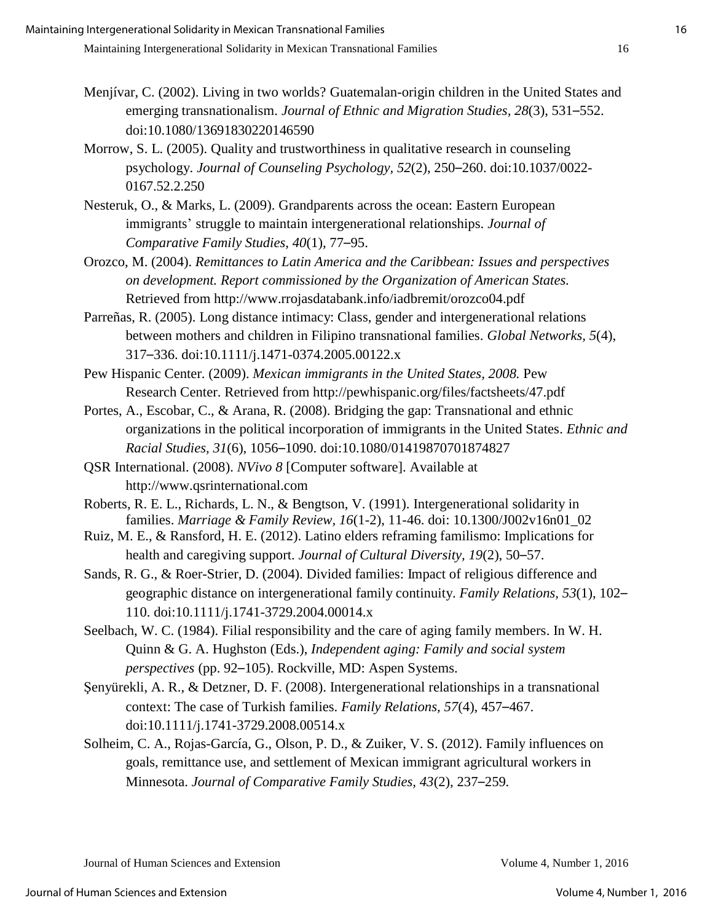- Menjívar, C. (2002). Living in two worlds? Guatemalan-origin children in the United States and emerging transnationalism. *Journal of Ethnic and Migration Studies, 28*(3), 531–552. doi[:10.1080/13691830220146590](http://dx.doi.org/10.1080/13691830220146590)
- Morrow, S. L. (2005). Quality and trustworthiness in qualitative research in counseling psychology. *Journal of Counseling Psychology, 52*(2), 250–260. doi[:10.1037/0022-](http://dx.doi.org/10.1037/0022-0167.52.2.250) [0167.52.2.250](http://dx.doi.org/10.1037/0022-0167.52.2.250)
- Nesteruk, O., & Marks, L. (2009). Grandparents across the ocean: Eastern European immigrants' struggle to maintain intergenerational relationships. *Journal of Comparative Family Studies, 40*(1), 77–95.
- Orozco, M. (2004). *Remittances to Latin America and the Caribbean: Issues and perspectives on development. Report commissioned by the Organization of American States.* Retrieved from http://www.rrojasdatabank.info/iadbremit/orozco04.pdf
- Parreñas, R. (2005). Long distance intimacy: Class, gender and intergenerational relations between mothers and children in Filipino transnational families. *Global Networks, 5*(4), 317–336. doi[:10.1111/j.1471-0374.2005.00122.x](http://dx.doi.org/10.1111/j.1471-0374.2005.00122.x)
- Pew Hispanic Center. (2009). *Mexican immigrants in the United States, 2008.* Pew Research Center. Retrieved from<http://pewhispanic.org/files/factsheets/47.pdf>
- Portes, A., Escobar, C., & Arana, R. (2008). Bridging the gap: Transnational and ethnic organizations in the political incorporation of immigrants in the United States. *Ethnic and Racial Studies, 31*(6), 1056–1090. doi:10.1080/01419870701874827
- QSR International. (2008). *NVivo 8* [Computer software]. Available at http://www.qsrinternational.com
- Roberts, R. E. L., Richards, L. N., & Bengtson, V. (1991). Intergenerational solidarity in families. *Marriage & Family Review, 16*(1-2), 11-46. doi: 10.1300/J002v16n01\_02
- Ruiz, M. E., & Ransford, H. E. (2012). Latino elders reframing familismo: Implications for health and caregiving support. *Journal of Cultural Diversity, 19*(2), 50–57.
- Sands, R. G., & Roer-Strier, D. (2004). Divided families: Impact of religious difference and geographic distance on intergenerational family continuity. *Family Relations, 53*(1), 102– 110. doi:10.1111/j.1741-3729.2004.00014.x
- Seelbach, W. C. (1984). Filial responsibility and the care of aging family members. In W. H. Quinn & G. A. Hughston (Eds.), *Independent aging: Family and social system perspectives* (pp. 92–105). Rockville, MD: Aspen Systems.
- Şenyürekli, A. R., & Detzner, D. F. (2008). Intergenerational relationships in a transnational context: The case of Turkish families. *Family Relations, 57*(4), 457–467. doi[:10.1111/j.1741-3729.2008.00514.x](http://dx.doi.org/10.1111/j.1741-3729.2008.00514.x)
- Solheim, C. A., Rojas-García, G., Olson, P. D., & Zuiker, V. S. (2012). Family influences on goals, remittance use, and settlement of Mexican immigrant agricultural workers in Minnesota. *Journal of Comparative Family Studies, 43*(2), 237–259*.*